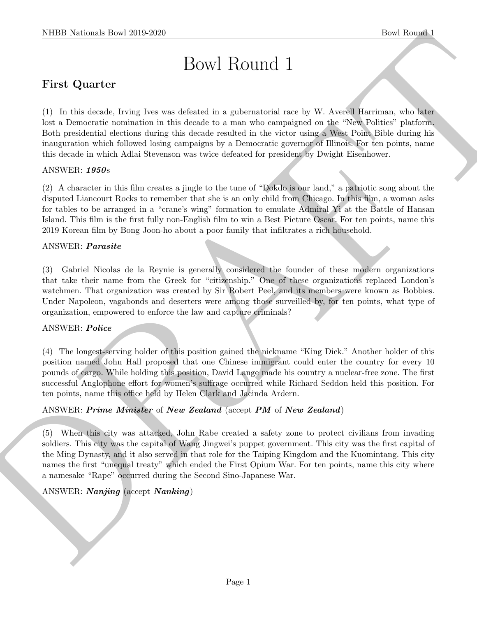# Bowl Round 1

# First Quarter

NIBB Notional: David 2019-2020<br>
Down Round I.<br>
First Quarter<br>
First Quarter<br>
First Quarter<br>
First Schutter<br>
First Schutter<br>
Distribution of the state and detection is a generated<br>in an interaction as the state of the comp (1) In this decade, Irving Ives was defeated in a gubernatorial race by W. Averell Harriman, who later lost a Democratic nomination in this decade to a man who campaigned on the "New Politics" platform. Both presidential elections during this decade resulted in the victor using a West Point Bible during his inauguration which followed losing campaigns by a Democratic governor of Illinois. For ten points, name this decade in which Adlai Stevenson was twice defeated for president by Dwight Eisenhower.

#### ANSWER: 1950s

(2) A character in this film creates a jingle to the tune of "Dokdo is our land," a patriotic song about the disputed Liancourt Rocks to remember that she is an only child from Chicago. In this film, a woman asks for tables to be arranged in a "crane's wing" formation to emulate Admiral Yi at the Battle of Hansan Island. This film is the first fully non-English film to win a Best Picture Oscar. For ten points, name this 2019 Korean film by Bong Joon-ho about a poor family that infiltrates a rich household.

#### ANSWER: Parasite

(3) Gabriel Nicolas de la Reynie is generally considered the founder of these modern organizations that take their name from the Greek for "citizenship." One of these organizations replaced London's watchmen. That organization was created by Sir Robert Peel, and its members were known as Bobbies. Under Napoleon, vagabonds and deserters were among those surveilled by, for ten points, what type of organization, empowered to enforce the law and capture criminals?

#### ANSWER: Police

(4) The longest-serving holder of this position gained the nickname "King Dick." Another holder of this position named John Hall proposed that one Chinese immigrant could enter the country for every 10 pounds of cargo. While holding this position, David Lange made his country a nuclear-free zone. The first successful Anglophone effort for women's suffrage occurred while Richard Seddon held this position. For ten points, name this office held by Helen Clark and Jacinda Ardern.

#### ANSWER: Prime Minister of New Zealand (accept PM of New Zealand)

(5) When this city was attacked, John Rabe created a safety zone to protect civilians from invading soldiers. This city was the capital of Wang Jingwei's puppet government. This city was the first capital of the Ming Dynasty, and it also served in that role for the Taiping Kingdom and the Kuomintang. This city names the first "unequal treaty" which ended the First Opium War. For ten points, name this city where a namesake "Rape" occurred during the Second Sino-Japanese War.

#### ANSWER: *Nanjing* (accept *Nanking*)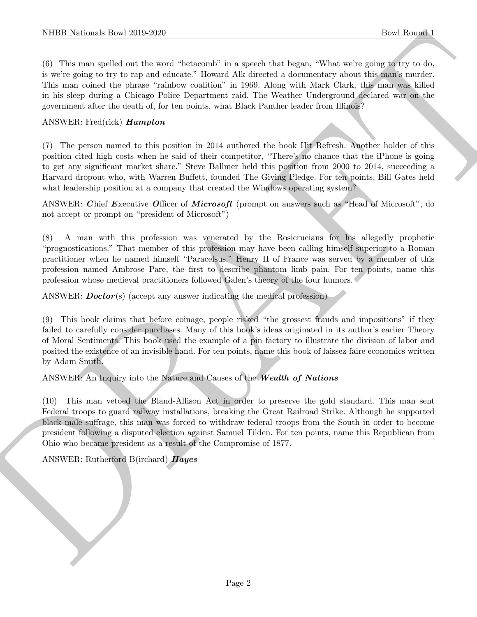(6) This man spelled out the word "hetacomb" in a speech that began, "What we're going to try to do, is we're going to try to rap and educate." Howard Alk directed a documentary about this man's murder. This man coined the phrase "rainbow coalition" in 1969. Along with Mark Clark, this man was killed in his sleep during a Chicago Police Department raid. The Weather Underground declared war on the government after the death of, for ten points, what Black Panther leader from Illinois?

## ANSWER: Fred(rick) Hampton

(7) The person named to this position in 2014 authored the book Hit Refresh. Another holder of this position cited high costs when he said of their competitor, "There's no chance that the iPhone is going to get any significant market share." Steve Ballmer held this position from 2000 to 2014, succeeding a Harvard dropout who, with Warren Buffett, founded The Giving Pledge. For ten points, Bill Gates held what leadership position at a company that created the Windows operating system?

ANSWER: Chief Executive Officer of Microsoft (prompt on answers such as "Head of Microsoft", do not accept or prompt on "president of Microsoft")

(8) A man with this profession was venerated by the Rosicrucians for his allegedly prophetic "prognostications." That member of this profession may have been calling himself superior to a Roman practitioner when he named himself "Paracelsus." Henry II of France was served by a member of this profession named Ambrose Pare, the first to describe phantom limb pain. For ten points, name this profession whose medieval practitioners followed Galen's theory of the four humors.

ANSWER:  $\text{Doctor}(s)$  (accept any answer indicating the medical profession)

NIBB Noticeals how 2010-2020<br>
(6) Lists and scale of the conditional bis a speed licts beam. What were done in the of the conditions of the condition of the condition of the condition of the condition of the condition of (9) This book claims that before coinage, people risked "the grossest frauds and impositions" if they failed to carefully consider purchases. Many of this book's ideas originated in its author's earlier Theory of Moral Sentiments. This book used the example of a pin factory to illustrate the division of labor and posited the existence of an invisible hand. For ten points, name this book of laissez-faire economics written by Adam Smith.

ANSWER: An Inquiry into the Nature and Causes of the Wealth of Nations

(10) This man vetoed the Bland-Allison Act in order to preserve the gold standard. This man sent Federal troops to guard railway installations, breaking the Great Railroad Strike. Although he supported black male suffrage, this man was forced to withdraw federal troops from the South in order to become president following a disputed election against Samuel Tilden. For ten points, name this Republican from Ohio who became president as a result of the Compromise of 1877.

ANSWER: Rutherford B(irchard) Hayes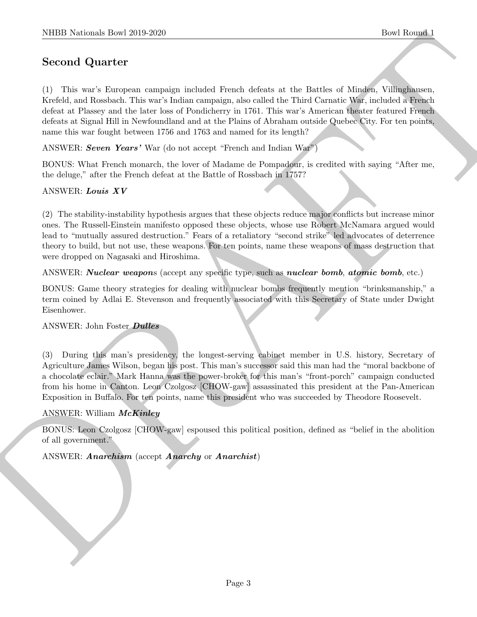# Second Quarter

(1) This war's European campaign included French defeats at the Battles of Minden, Villinghausen, Krefeld, and Rossbach. This war's Indian campaign, also called the Third Carnatic War, included a French defeat at Plassey and the later loss of Pondicherry in 1761. This war's American theater featured French defeats at Signal Hill in Newfoundland and at the Plains of Abraham outside Quebec City. For ten points, name this war fought between 1756 and 1763 and named for its length?

ANSWER: Seven Years' War (do not accept "French and Indian War")

BONUS: What French monarch, the lover of Madame de Pompadour, is credited with saying "After me, the deluge," after the French defeat at the Battle of Rossbach in 1757?

# ANSWER: Louis XV

(2) The stability-instability hypothesis argues that these objects reduce major conflicts but increase minor ones. The Russell-Einstein manifesto opposed these objects, whose use Robert McNamara argued would lead to "mutually assured destruction." Fears of a retaliatory "second strike" led advocates of deterrence theory to build, but not use, these weapons. For ten points, name these weapons of mass destruction that were dropped on Nagasaki and Hiroshima.

ANSWER: *Nuclear weapons* (accept any specific type, such as *nuclear bomb*, *atomic bomb*, etc.)

BONUS: Game theory strategies for dealing with nuclear bombs frequently mention "brinksmanship," a term coined by Adlai E. Stevenson and frequently associated with this Secretary of State under Dwight Eisenhower.

#### ANSWER: John Foster Dulles

NIBB Notional: Desi 2019-2020<br>
Second Quarter<br>
Second Quarter<br>
C 1) Taki was a kanyan cangaign included there a detail of the distinct Will including<br>
Krefski, an Roshen, This was include case and the final Caracter Will (3) During this man's presidency, the longest-serving cabinet member in U.S. history, Secretary of Agriculture James Wilson, began his post. This man's successor said this man had the "moral backbone of a chocolate eclair." Mark Hanna was the power-broker for this man's "front-porch" campaign conducted from his home in Canton. Leon Czolgosz [CHOW-gaw] assassinated this president at the Pan-American Exposition in Buffalo. For ten points, name this president who was succeeded by Theodore Roosevelt.

#### ANSWER: William McKinley

BONUS: Leon Czolgosz [CHOW-gaw] espoused this political position, defined as "belief in the abolition of all government."

ANSWER: *Anarchism* (accept *Anarchy* or *Anarchist*)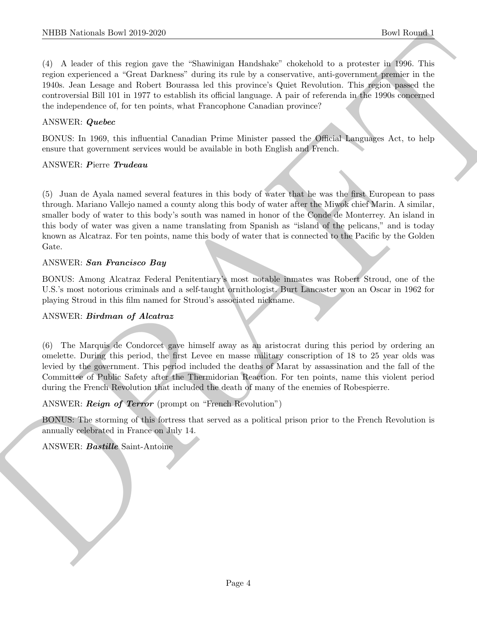(4) A leader of this region gave the "Shawinigan Handshake" chokehold to a protester in 1996. This region experienced a "Great Darkness" during its rule by a conservative, anti-government premier in the 1940s. Jean Lesage and Robert Bourassa led this province's Quiet Revolution. This region passed the controversial Bill 101 in 1977 to establish its official language. A pair of referenda in the 1990s concerned the independence of, for ten points, what Francophone Canadian province?

#### ANSWER: Quebec

BONUS: In 1969, this influential Canadian Prime Minister passed the Official Languages Act, to help ensure that government services would be available in both English and French.

#### ANSWER: Pierre Trudeau

NIBID Notionals how 2010-2020<br>
(1) A basket of the current of State Shareholds Elassions' the<br>sharehold of the main control of the system and the system of the system<br>control of the system and the current density is not b (5) Juan de Ayala named several features in this body of water that he was the first European to pass through. Mariano Vallejo named a county along this body of water after the Miwok chief Marin. A similar, smaller body of water to this body's south was named in honor of the Conde de Monterrey. An island in this body of water was given a name translating from Spanish as "island of the pelicans," and is today known as Alcatraz. For ten points, name this body of water that is connected to the Pacific by the Golden Gate.

#### ANSWER: San Francisco Bay

BONUS: Among Alcatraz Federal Penitentiary's most notable inmates was Robert Stroud, one of the U.S.'s most notorious criminals and a self-taught ornithologist. Burt Lancaster won an Oscar in 1962 for playing Stroud in this film named for Stroud's associated nickname.

#### ANSWER: Birdman of Alcatraz

(6) The Marquis de Condorcet gave himself away as an aristocrat during this period by ordering an omelette. During this period, the first Levee en masse military conscription of 18 to 25 year olds was levied by the government. This period included the deaths of Marat by assassination and the fall of the Committee of Public Safety after the Thermidorian Reaction. For ten points, name this violent period during the French Revolution that included the death of many of the enemies of Robespierre.

#### ANSWER: Reign of Terror (prompt on "French Revolution")

BONUS: The storming of this fortress that served as a political prison prior to the French Revolution is annually celebrated in France on July 14.

ANSWER: Bastille Saint-Antoine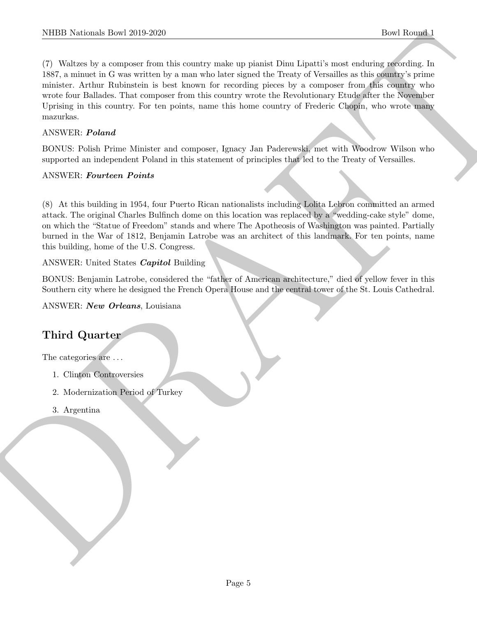NIBER Normals how 2019-2020<br>
The Rounds (Fig. 10.4220)<br>
The Rounds of two analysis of the solution and a symple at points that the<br>state activities of the symplectic definition of the sympetron of<br>
The SNA contract of the (7) Waltzes by a composer from this country make up pianist Dinu Lipatti's most enduring recording. In 1887, a minuet in G was written by a man who later signed the Treaty of Versailles as this country's prime minister. Arthur Rubinstein is best known for recording pieces by a composer from this country who wrote four Ballades. That composer from this country wrote the Revolutionary Etude after the November Uprising in this country. For ten points, name this home country of Frederic Chopin, who wrote many mazurkas.

#### ANSWER: Poland

BONUS: Polish Prime Minister and composer, Ignacy Jan Paderewski, met with Woodrow Wilson who supported an independent Poland in this statement of principles that led to the Treaty of Versailles.

#### ANSWER: Fourteen Points

(8) At this building in 1954, four Puerto Rican nationalists including Lolita Lebron committed an armed attack. The original Charles Bulfinch dome on this location was replaced by a "wedding-cake style" dome, on which the "Statue of Freedom" stands and where The Apotheosis of Washington was painted. Partially burned in the War of 1812, Benjamin Latrobe was an architect of this landmark. For ten points, name this building, home of the U.S. Congress.

#### ANSWER: United States Capitol Building

BONUS: Benjamin Latrobe, considered the "father of American architecture," died of yellow fever in this Southern city where he designed the French Opera House and the central tower of the St. Louis Cathedral.

ANSWER: New Orleans, Louisiana

# Third Quarter

The categories are  $\dots$ 

- 1. Clinton Controversies
- 2. Modernization Period of Turkey
- 3. Argentina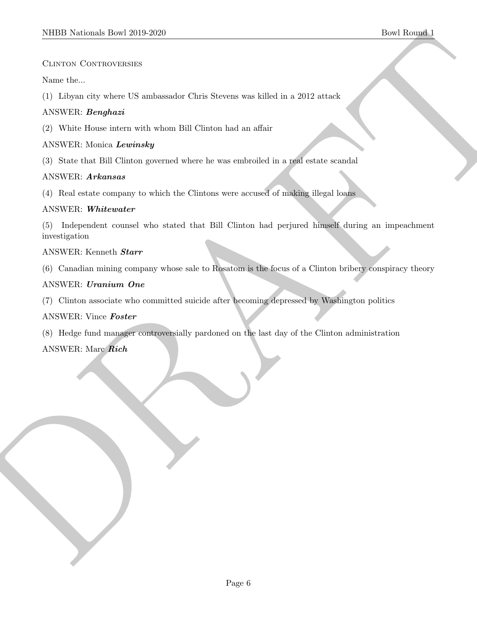#### Clinton Controversies

Name the...

(1) Libyan city where US ambassador Chris Stevens was killed in a 2012 attack

#### ANSWER: Benghazi

(2) White House intern with whom Bill Clinton had an affair

#### ANSWER: Monica Lewinsky

(3) State that Bill Clinton governed where he was embroiled in a real estate scandal

#### ANSWER: Arkansas

(4) Real estate company to which the Clintons were accused of making illegal loans

#### ANSWER: Whitewater

SIDDI Notional: Deset 213-12620<br>
Clause de Construction<br>
Clause de Construction<br>
Albert de Campbes de Campbronica (Cario Shereno was kilad in a 2012 attack<br>
Albert de Campbes de Campbronica (Campbronica) where the was sub (5) Independent counsel who stated that Bill Clinton had perjured himself during an impeachment investigation

#### ANSWER: Kenneth Starr

(6) Canadian mining company whose sale to Rosatom is the focus of a Clinton bribery conspiracy theory

#### ANSWER: Uranium One

(7) Clinton associate who committed suicide after becoming depressed by Washington politics

#### ANSWER: Vince Foster

(8) Hedge fund manager controversially pardoned on the last day of the Clinton administration

#### ANSWER: Marc Rich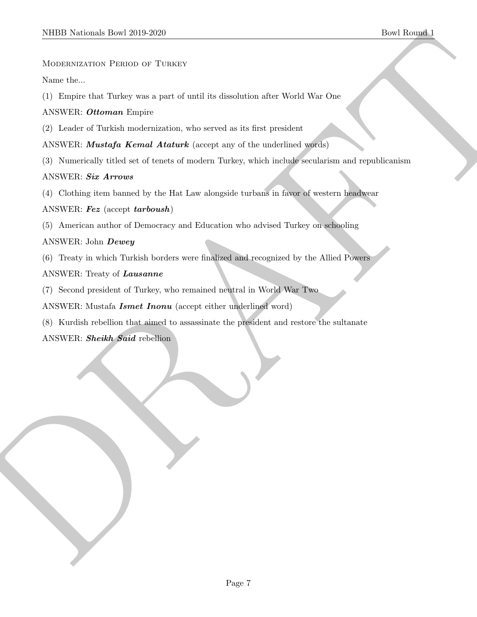#### MODERNIZATION PERIOD OF TURKEY

Name the...

(1) Empire that Turkey was a part of until its dissolution after World War One

ANSWER: Ottoman Empire

(2) Leader of Turkish modernization, who served as its first president

ANSWER: *Mustafa Kemal Ataturk* (accept any of the underlined words)

NIBER Normal: Interior (2019-2020)<br>
Blowthemsen (2019-2020)<br>
Montantization (Partner Wards)<br>
Normal: Except the Turbuy was a part of until its discrete<br>
(1) Despite the Turbuy was a part of until its discrete interior des (3) Numerically titled set of tenets of modern Turkey, which include secularism and republicanism

#### ANSWER: Six Arrows

(4) Clothing item banned by the Hat Law alongside turbans in favor of western headwear

ANSWER: Fez (accept tarboush)

(5) American author of Democracy and Education who advised Turkey on schooling

#### ANSWER: John Dewey

- (6) Treaty in which Turkish borders were finalized and recognized by the Allied Powers
- ANSWER: Treaty of Lausanne
- (7) Second president of Turkey, who remained neutral in World War Two

ANSWER: Mustafa **Ismet Inonu** (accept either underlined word)

(8) Kurdish rebellion that aimed to assassinate the president and restore the sultanate

ANSWER: Sheikh Said rebellion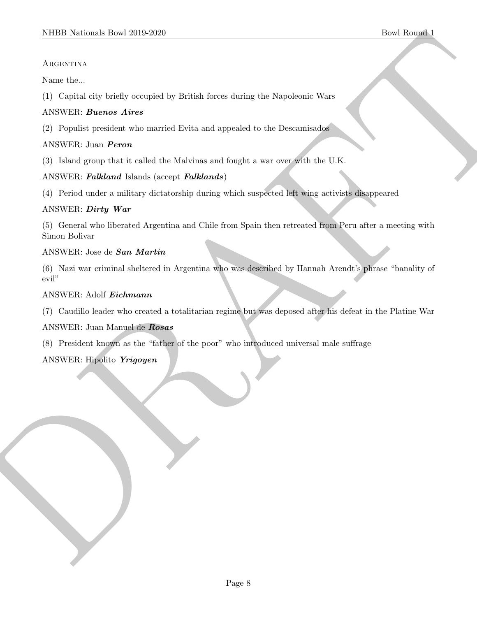#### **ARGENTINA**

Name the...

(1) Capital city briefly occupied by British forces during the Napoleonic Wars

## ANSWER: Buenos Aires

(2) Populist president who married Evita and appealed to the Descamisados

## ANSWER: Juan Peron

(3) Island group that it called the Malvinas and fought a war over with the U.K.

# ANSWER: Falkland Islands (accept Falklands)

(4) Period under a military dictatorship during which suspected left wing activists disappeared

# ANSWER: Dirty War

MIDD Nettonal: Dow 2019-2020<br>
ARCENTING<br>
ARCENTING<br>
ARCENTING The briefly occupied by Hirish force derive the Nepoleonic Wars<br>
(1) Copied sign broad at the state of the control and approach to the Decomposite<br>
(2) Popular (5) General who liberated Argentina and Chile from Spain then retreated from Peru after a meeting with Simon Bolivar

#### ANSWER: Jose de San Martin

(6) Nazi war criminal sheltered in Argentina who was described by Hannah Arendt's phrase "banality of evil"

#### ANSWER: Adolf Eichmann

(7) Caudillo leader who created a totalitarian regime but was deposed after his defeat in the Platine War

ANSWER: Juan Manuel de Rosas

(8) President known as the "father of the poor" who introduced universal male suffrage

# ANSWER: Hipolito Yrigoyen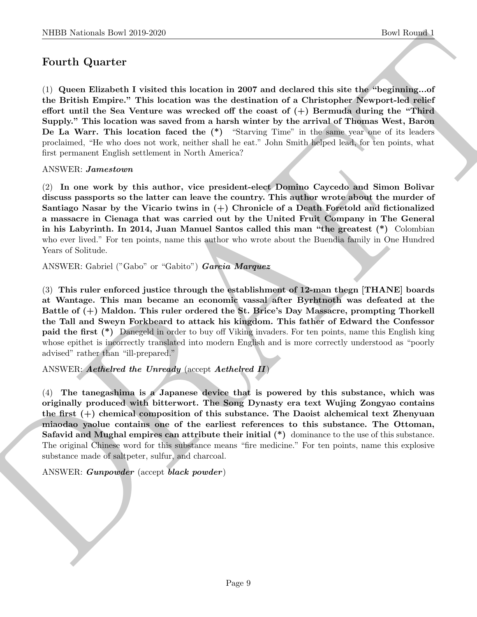# Fourth Quarter

(1) Queen Elizabeth I visited this location in 2007 and declared this site the "beginning...of the British Empire." This location was the destination of a Christopher Newport-led relief effort until the Sea Venture was wrecked off the coast of  $(+)$  Bermuda during the "Third" Supply." This location was saved from a harsh winter by the arrival of Thomas West, Baron De La Warr. This location faced the (\*) "Starving Time" in the same year one of its leaders proclaimed, "He who does not work, neither shall he eat." John Smith helped lead, for ten points, what first permanent English settlement in North America?

#### ANSWER: Jamestown

(2) In one work by this author, vice president-elect Domino Caycedo and Simon Bolivar discuss passports so the latter can leave the country. This author wrote about the murder of Santiago Nasar by the Vicario twins in  $(+)$  Chronicle of a Death Foretold and fictionalized a massacre in Cienaga that was carried out by the United Fruit Company in The General in his Labyrinth. In 2014, Juan Manuel Santos called this man "the greatest (\*) Colombian who ever lived." For ten points, name this author who wrote about the Buendia family in One Hundred Years of Solitude.

ANSWER: Gabriel ("Gabo" or "Gabito") Garcia Marquez

(3) This ruler enforced justice through the establishment of 12-man thegn [THANE] boards at Wantage. This man became an economic vassal after Byrhtnoth was defeated at the Battle of (+) Maldon. This ruler ordered the St. Brice's Day Massacre, prompting Thorkell the Tall and Sweyn Forkbeard to attack his kingdom. This father of Edward the Confessor paid the first (\*) Danegeld in order to buy off Viking invaders. For ten points, name this English king whose epithet is incorrectly translated into modern English and is more correctly understood as "poorly advised" rather than "ill-prepared."

ANSWER: Aethelred the Unready (accept Aethelred II)

NIBB Noticeals how 20:0 2020<br>
Doel Rowski <br>
Pour Hardrey How Rowski <br>
Court Equation is a strengthenius of the strengthenius of the Boundary of<br>
the British Familye, "This location was the destination of a Christopher Mex (4) The tanegashima is a Japanese device that is powered by this substance, which was originally produced with bitterwort. The Song Dynasty era text Wujing Zongyao contains the first (+) chemical composition of this substance. The Daoist alchemical text Zhenyuan miaodao yaolue contains one of the earliest references to this substance. The Ottoman, Safavid and Mughal empires can attribute their initial  $(*)$  dominance to the use of this substance. The original Chinese word for this substance means "fire medicine." For ten points, name this explosive substance made of saltpeter, sulfur, and charcoal.

#### ANSWER: Gunpowder (accept black powder)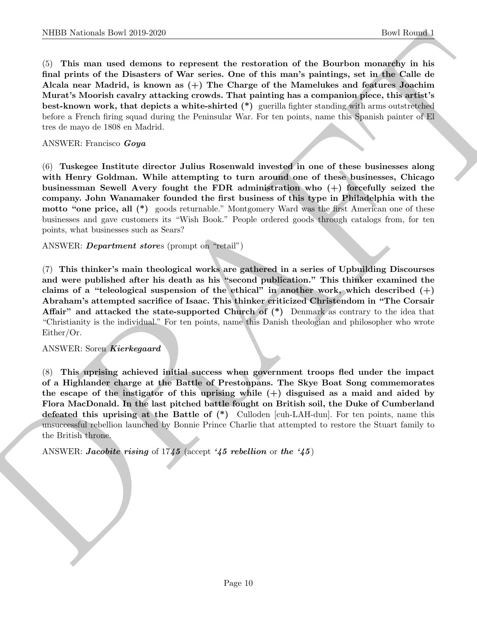NIBB Noticeals how 20:0.2250<br>
(best Rowski how 20:0.2250<br>
(c) This mean und demonstrate the restoration of the Bourbon more and<br>the fit and prime of the Diseaters of Wav series, One of this may<br>be pairing on the Golle dis (5) This man used demons to represent the restoration of the Bourbon monarchy in his final prints of the Disasters of War series. One of this man's paintings, set in the Calle de Alcala near Madrid, is known as (+) The Charge of the Mamelukes and features Joachim Murat's Moorish cavalry attacking crowds. That painting has a companion piece, this artist's best-known work, that depicts a white-shirted (\*) guerilla fighter standing with arms outstretched before a French firing squad during the Peninsular War. For ten points, name this Spanish painter of El tres de mayo de 1808 en Madrid.

#### ANSWER: Francisco Goya

(6) Tuskegee Institute director Julius Rosenwald invested in one of these businesses along with Henry Goldman. While attempting to turn around one of these businesses, Chicago businessman Sewell Avery fought the FDR administration who (+) forcefully seized the company. John Wanamaker founded the first business of this type in Philadelphia with the motto "one price, all (\*) goods returnable." Montgomery Ward was the first American one of these businesses and gave customers its "Wish Book." People ordered goods through catalogs from, for ten points, what businesses such as Sears?

ANSWER: Department stores (prompt on "retail")

(7) This thinker's main theological works are gathered in a series of Upbuilding Discourses and were published after his death as his "second publication." This thinker examined the claims of a "teleological suspension of the ethical" in another work, which described  $(+)$ Abraham's attempted sacrifice of Isaac. This thinker criticized Christendom in "The Corsair Affair" and attacked the state-supported Church of (\*) Denmark as contrary to the idea that "Christianity is the individual." For ten points, name this Danish theologian and philosopher who wrote Either/Or.

#### ANSWER: Soren Kierkegaard

(8) This uprising achieved initial success when government troops fled under the impact of a Highlander charge at the Battle of Prestonpans. The Skye Boat Song commemorates the escape of the instigator of this uprising while  $(+)$  disguised as a maid and aided by Flora MacDonald. In the last pitched battle fought on British soil, the Duke of Cumberland defeated this uprising at the Battle of (\*) Culloden [cuh-LAH-dun]. For ten points, name this unsuccessful rebellion launched by Bonnie Prince Charlie that attempted to restore the Stuart family to the British throne.

ANSWER: Jacobite rising of 1745 (accept '45 rebellion or the '45)